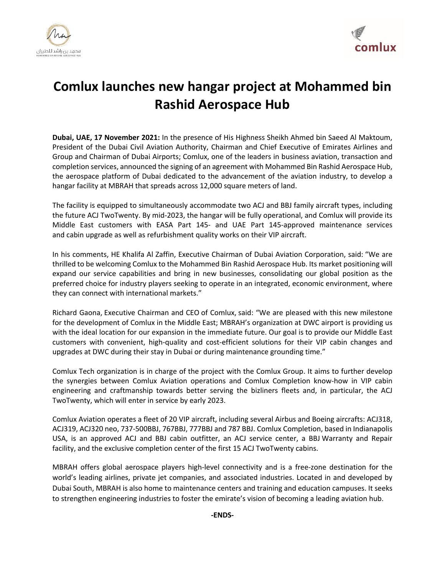



## **Comlux launches new hangar project at Mohammed bin Rashid Aerospace Hub**

**Dubai, UAE, 17 November 2021:** In the presence of His Highness Sheikh Ahmed bin Saeed Al Maktoum, President of the Dubai Civil Aviation Authority, Chairman and Chief Executive of Emirates Airlines and Group and Chairman of Dubai Airports; Comlux, one of the leaders in business aviation, transaction and completion services, announced the signing of an agreement with Mohammed Bin Rashid Aerospace Hub, the aerospace platform of Dubai dedicated to the advancement of the aviation industry, to develop a hangar facility at MBRAH that spreads across 12,000 square meters of land.

The facility is equipped to simultaneously accommodate two ACJ and BBJ family aircraft types, including the future ACJ TwoTwenty. By mid-2023, the hangar will be fully operational, and Comlux will provide its Middle East customers with EASA Part 145- and UAE Part 145-approved maintenance services and cabin upgrade as well as refurbishment quality works on their VIP aircraft.

In his comments, HE Khalifa Al Zaffin, Executive Chairman of Dubai Aviation Corporation, said: "We are thrilled to be welcoming Comlux to the Mohammed Bin Rashid Aerospace Hub. Its market positioning will expand our service capabilities and bring in new businesses, consolidating our global position as the preferred choice for industry players seeking to operate in an integrated, economic environment, where they can connect with international markets."

Richard Gaona, Executive Chairman and CEO of Comlux, said: "We are pleased with this new milestone for the development of Comlux in the Middle East; MBRAH's organization at DWC airport is providing us with the ideal location for our expansion in the immediate future. Our goal is to provide our Middle East customers with convenient, high-quality and cost-efficient solutions for their VIP cabin changes and upgrades at DWC during their stay in Dubai or during maintenance grounding time."

Comlux Tech organization is in charge of the project with the Comlux Group. It aims to further develop the synergies between Comlux Aviation operations and Comlux Completion know-how in VIP cabin engineering and craftmanship towards better serving the bizliners fleets and, in particular, the ACJ TwoTwenty, which will enter in service by early 2023.

Comlux Aviation operates a fleet of 20 VIP aircraft, including several Airbus and Boeing aircrafts: ACJ318, ACJ319, ACJ320 neo, 737-500BBJ, 767BBJ, 777BBJ and 787 BBJ. Comlux Completion, based in Indianapolis USA, is an approved ACJ and BBJ cabin outfitter, an ACJ service center, a BBJ Warranty and Repair facility, and the exclusive completion center of the first 15 ACJ TwoTwenty cabins.

MBRAH offers global aerospace players high-level connectivity and is a free-zone destination for the world's leading airlines, private jet companies, and associated industries. Located in and developed by Dubai South, MBRAH is also home to maintenance centers and training and education campuses. It seeks to strengthen engineering industries to foster the emirate's vision of becoming a leading aviation hub.